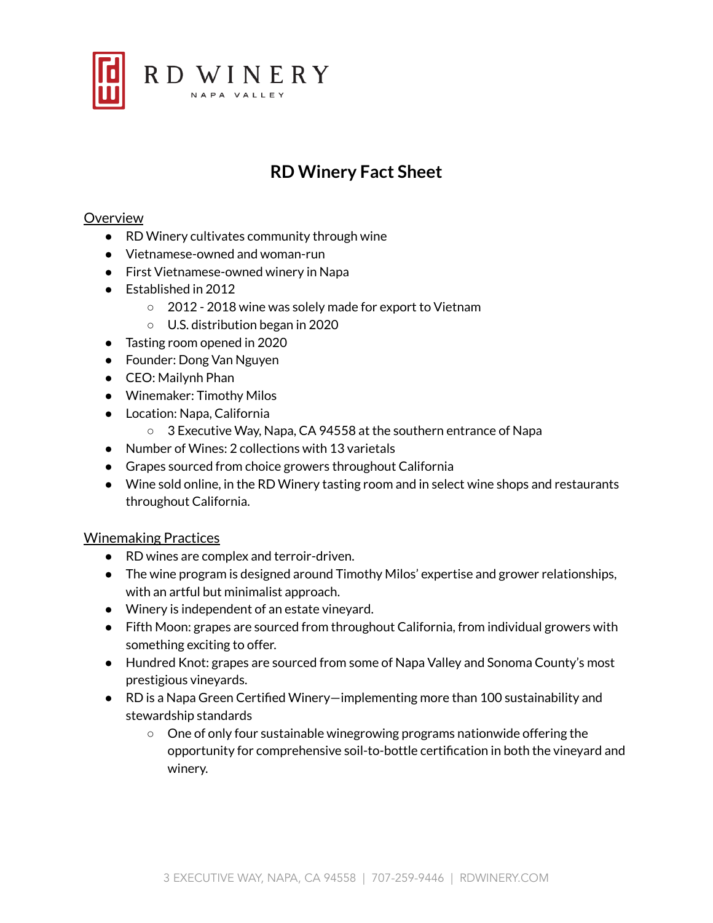

# **RD Winery Fact Sheet**

### **Overview**

- RD Winery cultivates community through wine
- Vietnamese-owned and woman-run
- First Vietnamese-owned winery in Napa
- Established in 2012
	- 2012 2018 wine was solely made for export to Vietnam
	- U.S. distribution began in 2020
- Tasting room opened in 2020
- Founder: Dong Van Nguyen
- CEO: Mailynh Phan
- Winemaker: Timothy Milos
- Location: Napa, California
	- 3 Executive Way, Napa, CA 94558 at the southern entrance of Napa
- Number of Wines: 2 collections with 13 varietals
- Grapes sourced from choice growers throughout California
- Wine sold online, in the RD Winery tasting room and in select wine shops and restaurants throughout California.

#### Winemaking Practices

- RD wines are complex and terroir-driven.
- The wine program is designed around Timothy Milos' expertise and grower relationships, with an artful but minimalist approach.
- Winery is independent of an estate vineyard.
- Fifth Moon: grapes are sourced from throughout California, from individual growers with something exciting to offer.
- Hundred Knot: grapes are sourced from some of Napa Valley and Sonoma County's most prestigious vineyards.
- RD is a Napa Green Certified Winery—implementing more than 100 sustainability and stewardship standards
	- One of only four sustainable winegrowing programs nationwide offering the opportunity for comprehensive soil-to-bottle certification in both the vineyard and winery.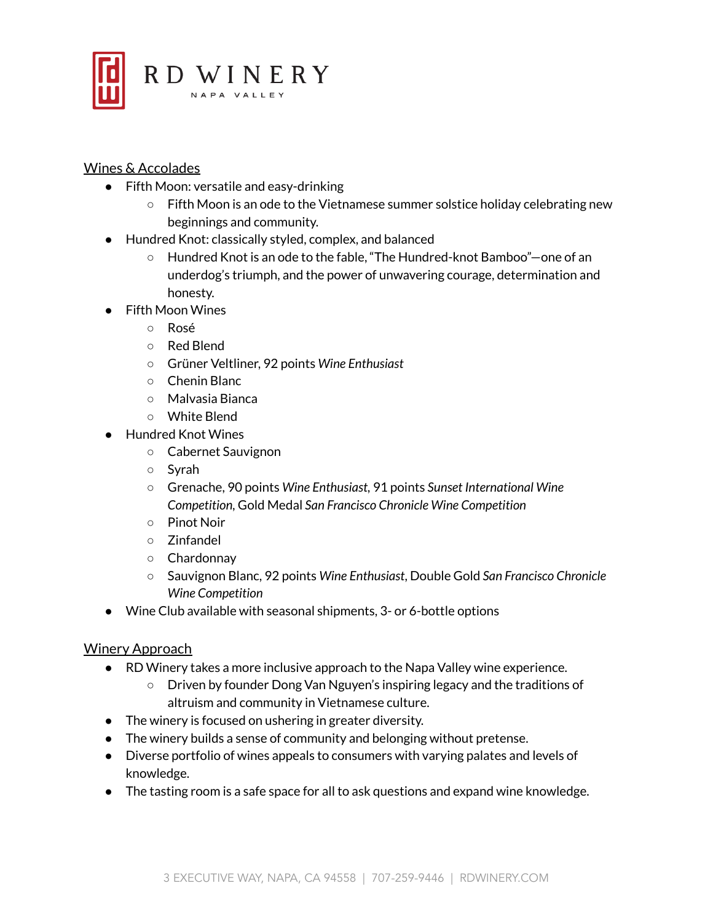

# Wines & Accolades

- Fifth Moon: versatile and easy-drinking
	- Fifth Moon is an ode to the Vietnamese summer solstice holiday celebrating new beginnings and community.
- Hundred Knot: classically styled, complex, and balanced
	- Hundred Knot is an ode to the fable, "The Hundred-knot Bamboo"—one of an underdog's triumph, and the power of unwavering courage, determination and honesty.
- Fifth Moon Wines
	- Rosé
	- Red Blend
	- Grüner Veltliner, 92 points *Wine Enthusiast*
	- Chenin Blanc
	- Malvasia Bianca
	- White Blend
- Hundred Knot Wines
	- Cabernet Sauvignon
	- Syrah
	- Grenache, 90 points *Wine Enthusiast,* 91 points *Sunset International Wine Competition,* Gold Medal *San Francisco Chronicle Wine Competition*
	- Pinot Noir
	- Zinfandel
	- Chardonnay
	- Sauvignon Blanc, 92 points *Wine Enthusiast*, Double Gold *San Francisco Chronicle Wine Competition*
- Wine Club available with seasonal shipments, 3- or 6-bottle options

# Winery Approach

- RD Winery takes a more inclusive approach to the Napa Valley wine experience.
	- Driven by founder Dong Van Nguyen's inspiring legacy and the traditions of altruism and community in Vietnamese culture.
- The winery is focused on ushering in greater diversity.
- The winery builds a sense of community and belonging without pretense.
- Diverse portfolio of wines appeals to consumers with varying palates and levels of knowledge.
- The tasting room is a safe space for all to ask questions and expand wine knowledge.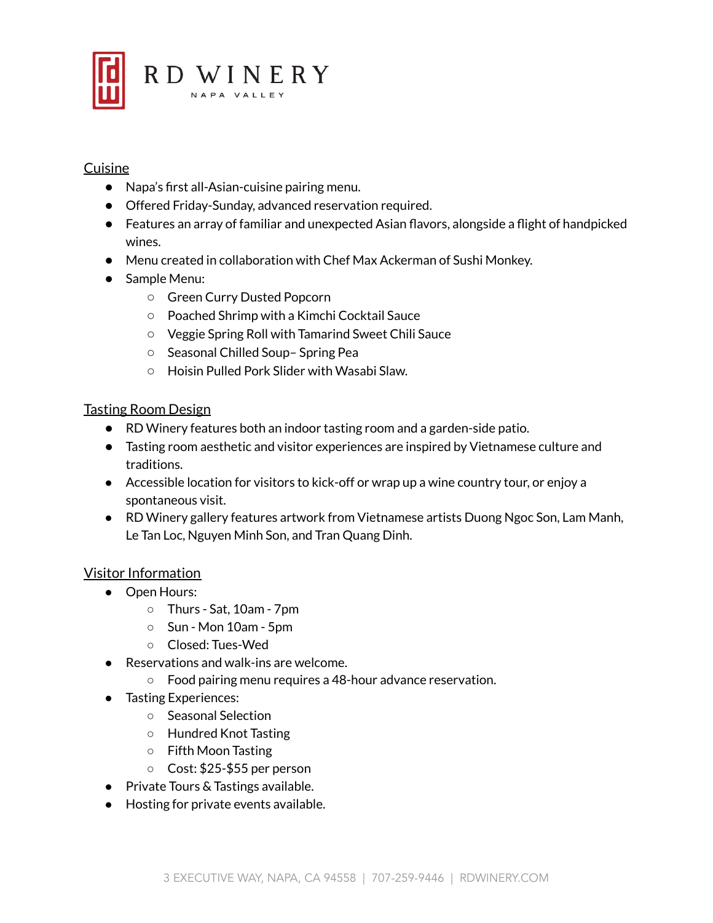

# Cuisine

- Napa's first all-Asian-cuisine pairing menu.
- Offered Friday-Sunday, advanced reservation required.
- Features an array of familiar and unexpected Asian flavors, alongside a flight of handpicked wines.
- Menu created in collaboration with Chef Max Ackerman of Sushi Monkey.
- Sample Menu:
	- Green Curry Dusted Popcorn
	- Poached Shrimp with a Kimchi Cocktail Sauce
	- Veggie Spring Roll with Tamarind Sweet Chili Sauce
	- Seasonal Chilled Soup– Spring Pea
	- Hoisin Pulled Pork Slider with Wasabi Slaw.

# Tasting Room Design

- RD Winery features both an indoor tasting room and a garden-side patio.
- Tasting room aesthetic and visitor experiences are inspired by Vietnamese culture and traditions.
- Accessible location for visitors to kick-off or wrap up a wine country tour, or enjoy a spontaneous visit.
- RD Winery gallery features artwork from Vietnamese artists Duong Ngoc Son, Lam Manh, Le Tan Loc, Nguyen Minh Son, and Tran Quang Dinh.

# Visitor Information

- Open Hours:
	- Thurs Sat, 10am 7pm
	- $\circ$  Sun Mon 10am 5pm
	- Closed: Tues-Wed
- Reservations and walk-ins are welcome.
	- Food pairing menu requires a 48-hour advance reservation.
- Tasting Experiences:
	- Seasonal Selection
	- Hundred Knot Tasting
	- Fifth Moon Tasting
	- Cost: \$25-\$55 per person
- Private Tours & Tastings available.
- Hosting for private events available.